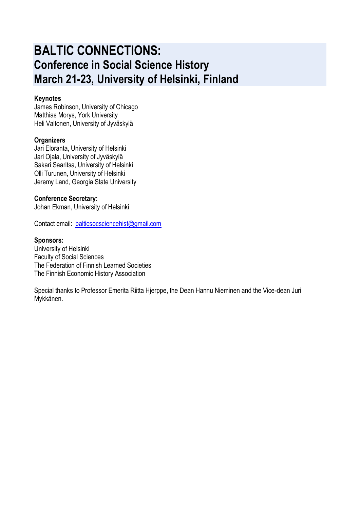# **BALTIC CONNECTIONS: Conference in Social Science History March 21-23, University of Helsinki, Finland**

#### **Keynotes**

James Robinson, University of Chicago Matthias Morys, York University Heli Valtonen, University of Jyväskylä

#### **Organizers**

Jari Eloranta, University of Helsinki Jari Ojala, University of Jyväskylä Sakari Saaritsa, University of Helsinki Olli Turunen, University of Helsinki Jeremy Land, Georgia State University

#### **Conference Secretary:**

Johan Ekman, University of Helsinki

Contact email: [balticsocsciencehist@gmail.com](mailto:balticsocsciencehist@gmail.com)

#### **Sponsors:**

University of Helsinki Faculty of Social Sciences The Federation of Finnish Learned Societies The Finnish Economic History Association

Special thanks to Professor Emerita Riitta Hjerppe, the Dean Hannu Nieminen and the Vice-dean Juri Mykkänen.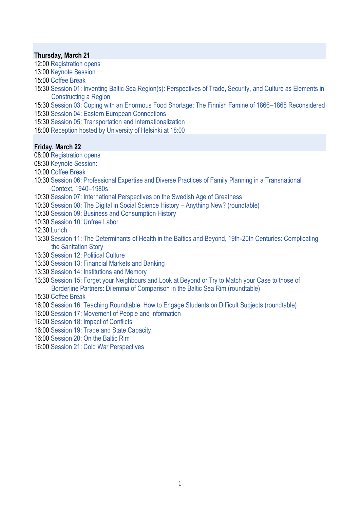#### **Thursday, March 21**

- 12:00 Registration opens
- 13:00 Keynote Session
- 15:00 Coffee Break
- 15:30 Session 01: Inventing Baltic Sea Region(s): Perspectives of Trade, Security, and Culture as Elements in Constructing a Region
- 15:30 Session 03: Coping with an Enormous Food Shortage: The Finnish Famine of 1866–1868 Reconsidered
- 15:30 Session 04: Eastern European Connections
- 15:30 Session 05: Transportation and Internationalization
- 18:00 Reception hosted by University of Helsinki at 18:00

#### **Friday, March 22**

- 08:00 Registration opens
- 08:30 Keynote Session:
- 10:00 Coffee Break
- 10:30 Session 06: Professional Expertise and Diverse Practices of Family Planning in a Transnational Context, 1940–1980s
- 10:30 Session 07: International Perspectives on the Swedish Age of Greatness
- 10:30 Session 08: The Digital in Social Science History Anything New? (roundtable)
- 10:30 Session 09: Business and Consumption History
- 10:30 Session 10: Unfree Labor

12:30 Lunch

- 13:30 Session 11: The Determinants of Health in the Baltics and Beyond, 19th-20th Centuries: Complicating the Sanitation Story
- 13:30 Session 12: Political Culture
- 13:30 Session 13: Financial Markets and Banking
- 13:30 Session 14: Institutions and Memory
- 13:30 Session 15: Forget your Neighbours and Look at Beyond or Try to Match your Case to those of Borderline Partners: Dilemma of Comparison in the Baltic Sea Rim (roundtable)
- 15:30 Coffee Break
- 16:00 Session 16: Teaching Roundtable: How to Engage Students on Difficult Subjects (roundtable)
- 16:00 Session 17: Movement of People and Information
- 16:00 Session 18: Impact of Conflicts
- 16:00 Session 19: Trade and State Capacity
- 16:00 Session 20: On the Baltic Rim
- 16:00 Session 21: Cold War Perspectives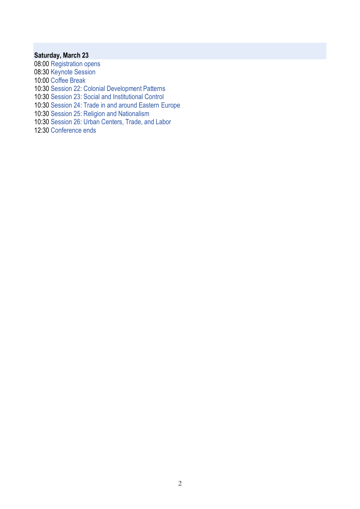### **Saturday, March 23**

08:00 Registration opens 08:30 Keynote Session 10:00 Coffee Break 10:30 Session 22: Colonial Development Patterns 10:30 Session 23: Social and Institutional Control 10:30 Session 24: Trade in and around Eastern Europe 10:30 Session 25: Religion and Nationalism 10:30 Session 26: Urban Centers, Trade, and Labor 12:30 Conference ends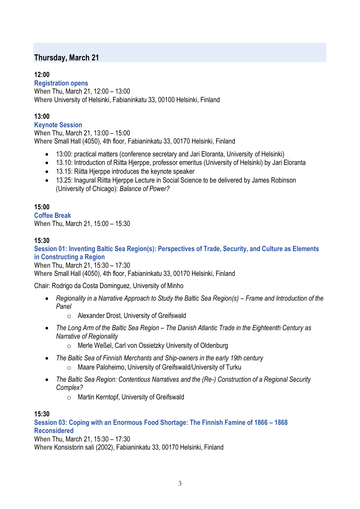# **Thursday, March 21**

# **12:00**

**Registration opens When** Thu, March 21, 12:00 – 13:00 **Where** University of Helsinki, Fabianinkatu 33, 00100 Helsinki, Finland

# **13:00**

**Keynote Session When** Thu, March 21, 13:00 – 15:00 **Where** Small Hall (4050), 4th floor, Fabianinkatu 33, 00170 Helsinki, Finland

- 13:00: practical matters (conference secretary and Jari Eloranta, University of Helsinki)
- 13.10: Introduction of Riitta Hjerppe, professor emeritus (University of Helsinki) by Jari Eloranta
- 13.15: Riitta Hjerppe introduces the keynote speaker
- 13.25: Inagural Riitta Hjerppe Lecture in Social Science to be delivered by James Robinson (University of Chicago): *Balance of Power?*

# **15:00**

**Coffee Break When** Thu, March 21, 15:00 – 15:30

# **15:30**

**Session 01: Inventing Baltic Sea Region(s): Perspectives of Trade, Security, and Culture as Elements in Constructing a Region**

**When** Thu, March 21, 15:30 – 17:30 **Where** Small Hall (4050), 4th floor, Fabianinkatu 33, 00170 Helsinki, Finland

Chair: Rodrigo da Costa Dominguez, University of Minho

- **•** Regionality in a Narrative Approach to Study the Baltic Sea Region(s) Frame and Introduction of the *Panel*
	- o Alexander Drost, University of Greifswald
- The Long Arm of the Baltic Sea Region The Danish Atlantic Trade in the Eighteenth Century as *Narrative of Regionality*
	- o Merle Weßel, Carl von Ossietzky University of Oldenburg
- *The Baltic Sea of Finnish Merchants and Ship-owners in the early 19th century*
	- o Maare Paloheimo, University of Greifswald/University of Turku
- *The Baltic Sea Region: Contentious Narratives and the (Re-) Construction of a Regional Security Complex?*
	- o Martin Kerntopf, University of Greifswald

# **15:30**

**Session 03: Coping with an Enormous Food Shortage: The Finnish Famine of 1866 – 1868 Reconsidered**

**When** Thu, March 21, 15:30 – 17:30 **Where** Konsistorin sali (2002), Fabianinkatu 33, 00170 Helsinki, Finland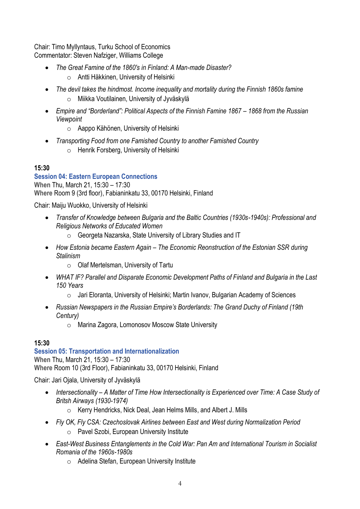Chair: Timo Myllyntaus, Turku School of Economics Commentator: Steven Nafziger, Williams College

- *The Great Famine of the 1860's in Finland: A Man-made Disaster?*
	- o Antti Häkkinen, University of Helsinki
- *The devil takes the hindmost. Income inequality and mortality during the Finnish 1860s famine* o Miikka Voutilainen, University of Jyväskylä
- *Empire and "Borderland": Political Aspects of the Finnish Famine 1867 – 1868 from the Russian Viewpoint*
	- o Aappo Kähönen, University of Helsinki
- *Transporting Food from one Famished Country to another Famished Country*
	- o Henrik Forsberg, University of Helsinki

# **15:30**

# **Session 04: Eastern European Connections**

**When** Thu, March 21, 15:30 – 17:30 **Where** Room 9 (3rd floor), Fabianinkatu 33, 00170 Helsinki, Finland

Chair: Maiju Wuokko, University of Helsinki

- *Transfer of Knowledge between Bulgaria and the Baltic Countries (1930s-1940s): Professional and Religious Networks of Educated Women*
	- o Georgeta Nazarska, State University of Library Studies and IT
- *How Estonia became Eastern Again – The Economic Reonstruction of the Estonian SSR during Stalinism*
	- o Olaf Mertelsman, University of Tartu
- *WHAT IF? Parallel and Disparate Economic Development Paths of Finland and Bulgaria in the Last 150 Years*
	- $\circ$  Jari Eloranta, University of Helsinki; Martin Ivanov, Bulgarian Academy of Sciences
- *Russian Newspapers in the Russian Empire's Borderlands: The Grand Duchy of Finland (19th Century)*
	- o Marina Zagora, Lomonosov Moscow State University

# **15:30**

**Session 05: Transportation and Internationalization When** Thu, March 21, 15:30 – 17:30 **Where** Room 10 (3rd Floor), Fabianinkatu 33, 00170 Helsinki, Finland

Chair: Jari Ojala, University of Jyväskylä

- *Intersectionality – A Matter of Time How Intersectionality is Experienced over Time: A Case Study of Britsh Airways (1930-1974)*
	- o Kerry Hendricks, Nick Deal, Jean Helms Mills, and Albert J. Mills
- *Fly OK, Fly CSA: Czechoslovak Airlines between East and West during Normalization Period*
	- o Pavel Szobi, European University Institute
- *East-West Business Entanglements in the Cold War: Pan Am and International Tourism in Socialist Romania of the 1960s-1980s*
	- o Adelina Stefan, European University Institute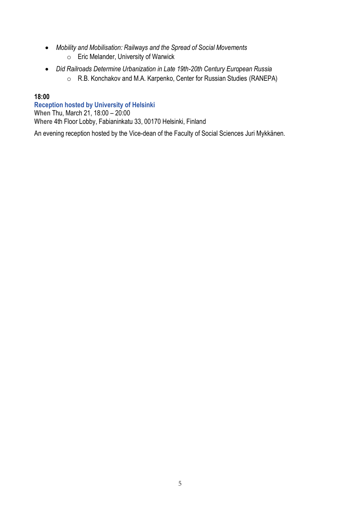- *Mobility and Mobilisation: Railways and the Spread of Social Movements*
	- o Eric Melander, University of Warwick
- *Did Railroads Determine Urbanization in Late 19th-20th Century European Russia* o R.B. Konchakov and M.A. Karpenko, Center for Russian Studies (RANEPA)

### **Reception hosted by University of Helsinki**

**When** Thu, March 21, 18:00 – 20:00

**Where** 4th Floor Lobby, Fabianinkatu 33, 00170 Helsinki, Finland

An evening reception hosted by the Vice-dean of the Faculty of Social Sciences Juri Mykkänen.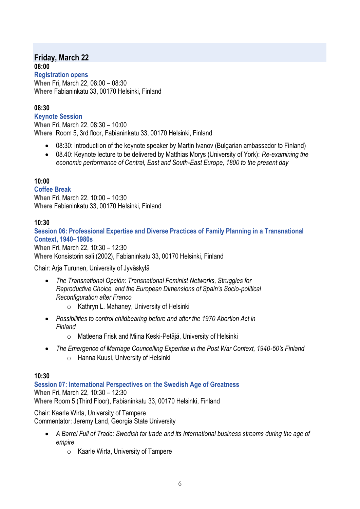# **Friday, March 22 08:00**

**Registration opens When** Fri, March 22, 08:00 – 08:30 **Where** Fabianinkatu 33, 00170 Helsinki, Finland

# **08:30**

**Keynote Session**

**When** Fri, March 22, 08:30 – 10:00 **Where** Room 5, 3rd floor, Fabianinkatu 33, 00170 Helsinki, Finland

- 08:30: Introducti on of the keynote speaker by Martin Ivanov (Bulgarian ambassador to Finland)
- 08.40: Keynote lecture to be delivered by Matthias Morys (University of York): *Re-examining the economic performance of Central, East and South-East Europe, 1800 to the present day*

# **10:00**

**Coffee Break**

**When** Fri, March 22, 10:00 – 10:30 **Where** Fabianinkatu 33, 00170 Helsinki, Finland

### **10:30**

**Session 06: Professional Expertise and Diverse Practices of Family Planning in a Transnational Context, 1940–1980s**

**When** Fri, March 22, 10:30 – 12:30 **Where** Konsistorin sali (2002), Fabianinkatu 33, 00170 Helsinki, Finland

Chair: Arja Turunen, University of Jyväskylä

- *The Transnational Opción: Transnational Feminist Networks, Struggles for Reproductive Choice, and the European Dimensions of Spain's Socio-political Reconfiguration after Franco*
	- $\circ$  Kathryn L. Mahaney, University of Helsinki
- *Possibilities to control childbearing before and after the 1970 Abortion Act in Finland*
	- o Matleena Frisk and Miina Keski-Petäjä, University of Helsinki
- *The Emergence of Marriage Councelling Expertise in the Post War Context, 1940-50's Finland* o Hanna Kuusi, University of Helsinki

#### **10:30**

**Session 07: International Perspectives on the Swedish Age of Greatness When** Fri, March 22, 10:30 – 12:30 **Where** Room 5 (Third Floor), Fabianinkatu 33, 00170 Helsinki, Finland

Chair: Kaarle Wirta, University of Tampere Commentator: Jeremy Land, Georgia State University

- *A Barrel Full of Trade: Swedish tar trade and its International business streams during the age of empire*
	- o Kaarle Wirta, University of Tampere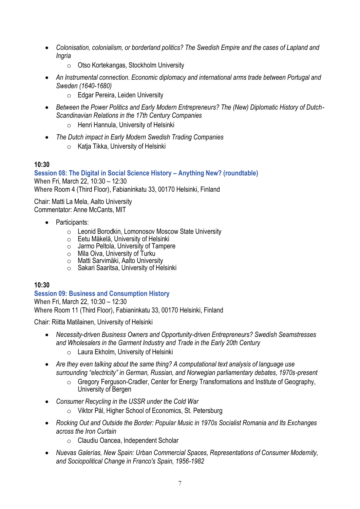- *Colonisation, colonialism, or borderland politics? The Swedish Empire and the cases of Lapland and Ingria*
	- o Otso Kortekangas, Stockholm University
- *An Instrumental connection. Economic diplomacy and international arms trade between Portugal and Sweden (1640-1680)*
	- o Edgar Pereira, Leiden University
- Between the Power Politics and Early Modern Entrepreneurs? The (New) Diplomatic History of Dutch-*Scandinavian Relations in the 17th Century Companies*
	- o Henri Hannula, University of Helsinki
- *The Dutch impact in Early Modern Swedish Trading Companies* o Katja Tikka, University of Helsinki

**Session 08: The Digital in Social Science History – Anything New? (roundtable) When** Fri, March 22, 10:30 – 12:30 **Where** Room 4 (Third Floor), Fabianinkatu 33, 00170 Helsinki, Finland

Chair: Matti La Mela, Aalto University Commentator: Anne McCants, MIT

- Participants:
	- o Leonid Borodkin, Lomonosov Moscow State University
	- o Eetu Mäkelä, University of Helsinki
	- o Jarmo Peltola, University of Tampere
	- o Mila Oiva, University of Turku
	- o Matti Sarvimäki, Aalto University
	- o Sakari Saaritsa, University of Helsinki

#### **10:30**

**Session 09: Business and Consumption History When** Fri, March 22, 10:30 – 12:30 **Where** Room 11 (Third Floor), Fabianinkatu 33, 00170 Helsinki, Finland

Chair: Riitta Matilainen, University of Helsinki

- *Necessity-driven Business Owners and Opportunity-driven Entrepreneurs? Swedish Seamstresses and Wholesalers in the Garment Industry and Trade in the Early 20th Century*
	- o Laura Ekholm, University of Helsinki
- *Are they even talking about the same thing? A computational text analysis of language use surrounding "electricity" in German, Russian, and Norwegian parliamentary debates, 1970s-present*
	- o Gregory Ferguson-Cradler, Center for Energy Transformations and Institute of Geography, University of Bergen
- *Consumer Recycling in the USSR under the Cold War*
	- o Viktor Pál, Higher School of Economics, St. Petersburg
- *Rocking Out and Outside the Border: Popular Music in 1970s Socialist Romania and Its Exchanges across the Iron Curtain*
	- o Claudiu Oancea, Independent Scholar
- *Nuevas Galerías, New Spain: Urban Commercial Spaces, Representations of Consumer Modernity, and Sociopolitical Change in Franco's Spain, 1956-1982*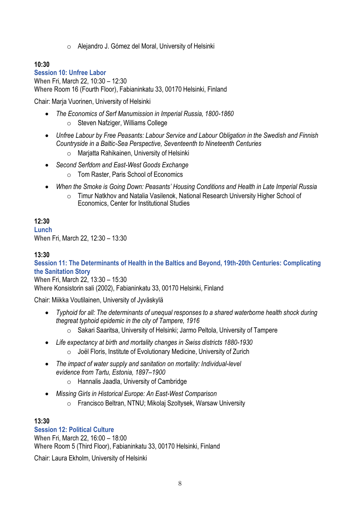o Alejandro J. Gómez del Moral, University of Helsinki

# **10:30**

**Session 10: Unfree Labor When** Fri, March 22, 10:30 – 12:30 **Where** Room 16 (Fourth Floor), Fabianinkatu 33, 00170 Helsinki, Finland

Chair: Marja Vuorinen, University of Helsinki

- *The Economics of Serf Manumission in Imperial Russia, 1800-1860* o Steven Nafziger, Williams College
- *Unfree Labour by Free Peasants: Labour Service and Labour Obligation in the Swedish and Finnish Countryside in a Baltic-Sea Perspective, Seventeenth to Nineteenth Centuries*
	- o Marjatta Rahikainen, University of Helsinki
- *Second Serfdom and East-West Goods Exchange*
	- o Tom Raster, Paris School of Economics
- *When the Smoke is Going Down: Peasants' Housing Conditions and Health in Late Imperial Russia*
	- o Timur Natkhov and Natalia Vasilenok, National Research University Higher School of Economics, Center for Institutional Studies

### **12:30**

**Lunch When** Fri, March 22, 12:30 – 13:30

### **13:30**

**Session 11: The Determinants of Health in the Baltics and Beyond, 19th-20th Centuries: Complicating the Sanitation Story**

**When** Fri, March 22, 13:30 – 15:30 **Where** Konsistorin sali (2002), Fabianinkatu 33, 00170 Helsinki, Finland

Chair: Miikka Voutilainen, University of Jyväskylä

- *Typhoid for all: The determinants of unequal responses to a shared waterborne health shock during thegreat typhoid epidemic in the city of Tampere, 1916* 
	- o Sakari Saaritsa, University of Helsinki; Jarmo Peltola, University of Tampere
- *Life expectancy at birth and mortality changes in Swiss districts 1880-1930* o Joël Floris, Institute of Evolutionary Medicine, University of Zurich
- *The impact of water supply and sanitation on mortality: Individual-level evidence from Tartu, Estonia, 1897–1900*
	- o Hannalis Jaadla, University of Cambridge
- *Missing Girls in Historical Europe: An East-West Comparison*
	- o Francisco Beltran, NTNU; Mikolaj Szoltysek, Warsaw University

#### **13:30**

#### **Session 12: Political Culture**

**When** Fri, March 22, 16:00 – 18:00 **Where** Room 5 (Third Floor), Fabianinkatu 33, 00170 Helsinki, Finland

Chair: Laura Ekholm, University of Helsinki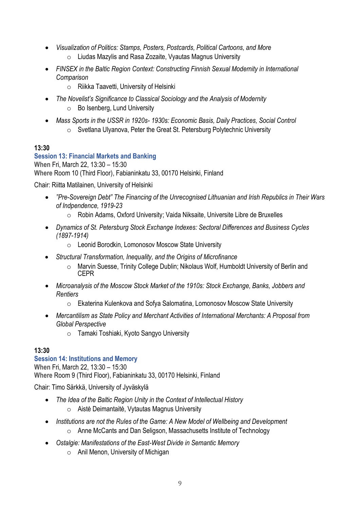- *Visualization of Politics: Stamps, Posters, Postcards, Political Cartoons, and More* 
	- o Liudas Mazylis and Rasa Zozaite, Vyautas Magnus University
- *FINSEX in the Baltic Region Context: Constructing Finnish Sexual Modernity in International Comparison*
	- o Riikka Taavetti, University of Helsinki
- *The Novelist's Significance to Classical Sociology and the Analysis of Modernity*
	- o Bo Isenberg, Lund University
- *Mass Sports in the USSR in 1920s- 1930s: Economic Basis, Daily Practices, Social Control* 
	- o Svetlana Ulyanova, Peter the Great St. Petersburg Polytechnic University

# **Session 13: Financial Markets and Banking**

**When** Fri, March 22, 13:30 – 15:30 **Where** Room 10 (Third Floor), Fabianinkatu 33, 00170 Helsinki, Finland

Chair: Riitta Matilainen, University of Helsinki

- *"Pre-Sovereign Debt" The Financing of the Unrecognised Lithuanian and Irish Republics in Their Wars of Indpendence, 1919-23*
	- o Robin Adams, Oxford University; Vaida Niksaite, Universite Libre de Bruxelles
- *Dynamics of St. Petersburg Stock Exchange Indexes: Sectoral Differences and Business Cycles (1897-1914)*
	- o Leonid Borodkin, Lomonosov Moscow State University
- *Structural Transformation, Inequality, and the Origins of Microfinance*
	- o Marvin Suesse, Trinity College Dublin; Nikolaus Wolf, Humboldt University of Berlin and CEPR
- *Microanalysis of the Moscow Stock Market of the 1910s: Stock Exchange, Banks, Jobbers and Rentiers*
	- o Ekaterina Kulenkova and Sofya Salomatina, Lomonosov Moscow State University
- *Mercantilism as State Policy and Merchant Activities of International Merchants: A Proposal from Global Perspective*
	- o Tamaki Toshiaki, Kyoto Sangyo University

# **13:30**

# **Session 14: Institutions and Memory**

**When** Fri, March 22, 13:30 – 15:30 **Where** Room 9 (Third Floor), Fabianinkatu 33, 00170 Helsinki, Finland

Chair: Timo Särkkä, University of Jyväskylä

- *The Idea of the Baltic Region Unity in the Context of Intellectual History*
	- o Aistė Deimantaitė, Vytautas Magnus University
- *Institutions are not the Rules of the Game: A New Model of Wellbeing and Development* o Anne McCants and Dan Seligson, Massachusetts Institute of Technology
	- *Ostalgie: Manifestations of the East-West Divide in Semantic Memory* 
		- o Anil Menon, University of Michigan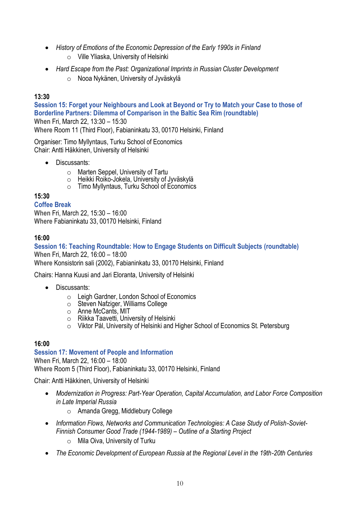- *History of Emotions of the Economic Depression of the Early 1990s in Finland*
	- o Ville Yliaska, University of Helsinki
- *Hard Escape from the Past: Organizational Imprints in Russian Cluster Development*
	- o Nooa Nykänen, University of Jyväskylä

**Session 15: Forget your Neighbours and Look at Beyond or Try to Match your Case to those of Borderline Partners: Dilemma of Comparison in the Baltic Sea Rim (roundtable) When** Fri, March 22, 13:30 – 15:30 **Where** Room 11 (Third Floor), Fabianinkatu 33, 00170 Helsinki, Finland

Organiser: Timo Myllyntaus, Turku School of Economics Chair: Antti Häkkinen, University of Helsinki

- Discussants:
	- o Marten Seppel, University of Tartu
	- o Heikki Roiko-Jokela, University of Jyväskylä
	- o Timo Myllyntaus, Turku School of Economics

# **15:30**

### **Coffee Break**

**When** Fri, March 22, 15:30 – 16:00 **Where** Fabianinkatu 33, 00170 Helsinki, Finland

# **16:00**

**Session 16: Teaching Roundtable: How to Engage Students on Difficult Subjects (roundtable) When** Fri, March 22, 16:00 – 18:00 **Where** Konsistorin sali (2002), Fabianinkatu 33, 00170 Helsinki, Finland

Chairs: Hanna Kuusi and Jari Eloranta, University of Helsinki

- Discussants:
	- $\circ$  Leigh Gardner, London School of Economics
	- o Steven Nafziger, Williams College
	- o Anne McCants, MIT
	- o Riikka Taavetti, University of Helsinki
	- o Viktor Pál, University of Helsinki and Higher School of Economics St. Petersburg

# **16:00**

#### **Session 17: Movement of People and Information**

**When** Fri, March 22, 16:00 – 18:00 **Where** Room 5 (Third Floor), Fabianinkatu 33, 00170 Helsinki, Finland

Chair: Antti Häkkinen, University of Helsinki

- *Modernization in Progress: Part-Year Operation, Capital Accumulation, and Labor Force Composition in Late Imperial Russia*
	- o Amanda Gregg, Middlebury College
- Information Flows, Networks and Communication Technologies: A Case Study of Polish-Soviet-*Finnish Consumer Good Trade (1944-1989) – Outline of a Starting Project*
	- o Mila Oiva, University of Turku
- *The Economic Development of European Russia at the Regional Level in the 19th-20th Centuries*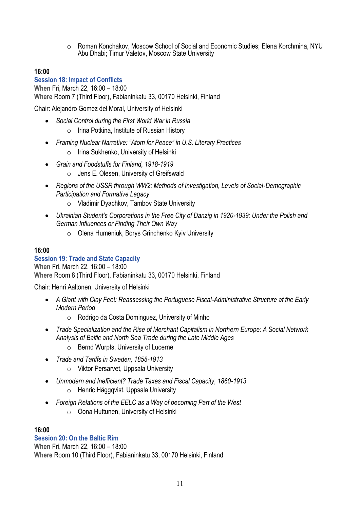o Roman Konchakov, Moscow School of Social and Economic Studies; Elena Korchmina, NYU Abu Dhabi; Timur Valetov, Moscow State University

### **16:00**

**Session 18: Impact of Conflicts When** Fri, March 22, 16:00 – 18:00 **Where** Room 7 (Third Floor), Fabianinkatu 33, 00170 Helsinki, Finland

Chair: Alejandro Gomez del Moral, University of Helsinki

- *Social Control during the First World War in Russia*
	- o Irina Potkina, Institute of Russian History
- *Framing Nuclear Narrative: "Atom for Peace" in U.S. Literary Practices* 
	- o Irina Sukhenko, University of Helsinki
- *Grain and Foodstuffs for Finland, 1918-1919*
	- o Jens E. Olesen, University of Greifswald
- *Regions of the USSR through WW2: Methods of Investigation, Levels of Social-Demographic Participation and Formative Legacy* 
	- o Vladimir Dyachkov, Tambov State University
- *Ukrainian Student's Corporations in the Free City of Danzig in 1920-1939: Under the Polish and German Influences or Finding Their Own Way*
	- o Olena Humeniuk, Borys Grinchenko Kyiv University

#### **16:00**

#### **Session 19: Trade and State Capacity**

**When** Fri, March 22, 16:00 – 18:00 **Where** Room 8 (Third Floor), Fabianinkatu 33, 00170 Helsinki, Finland

Chair: Henri Aaltonen, University of Helsinki

- *A Giant with Clay Feet: Reassessing the Portuguese Fiscal-Administrative Structure at the Early Modern Period*
	- o Rodrigo da Costa Dominguez, University of Minho
- *Trade Specialization and the Rise of Merchant Capitalism in Northern Europe: A Social Network Analysis of Baltic and North Sea Trade during the Late Middle Ages* 
	- o Bernd Wurpts, University of Lucerne
- *Trade and Tariffs in Sweden, 1858-1913*
	- o Viktor Persarvet, Uppsala University
- *Unmodern and Inefficient? Trade Taxes and Fiscal Capacity, 1860-1913* o Henric Häggqvist, Uppsala University
- *Foreign Relations of the EELC as a Way of becoming Part of the West* o Oona Huttunen, University of Helsinki

#### **16:00**

### **Session 20: On the Baltic Rim**

**When** Fri, March 22, 16:00 – 18:00 **Where** Room 10 (Third Floor), Fabianinkatu 33, 00170 Helsinki, Finland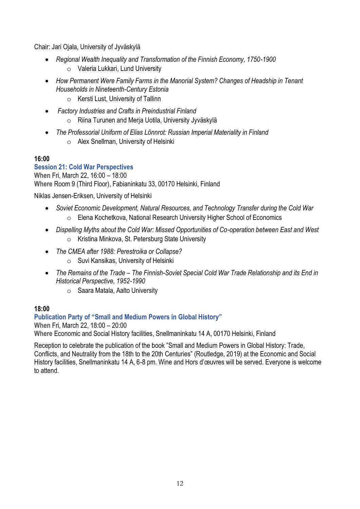Chair: Jari Ojala, University of Jyväskylä

- *Regional Wealth Inequality and Transformation of the Finnish Economy, 1750-1900* o Valeria Lukkari, Lund University
- *How Permanent Were Family Farms in the Manorial System? Changes of Headship in Tenant Households in Nineteenth-Century Estonia*
	- o Kersti Lust, University of Tallinn
- *Factory Industries and Crafts in Preindustrial Finland*
	- o Riina Turunen and Merja Uotila, University Jyväskylä
- *The Professorial Uniform of Elias Lönnrot: Russian Imperial Materiality in Finland* o Alex Snellman, University of Helsinki

# **16:00**

**Session 21: Cold War Perspectives When** Fri, March 22, 16:00 – 18:00 **Where** Room 9 (Third Floor), Fabianinkatu 33, 00170 Helsinki, Finland

Niklas Jensen-Eriksen, University of Helsinki

- *Soviet Economic Development, Natural Resources, and Technology Transfer during the Cold War* o Elena Kochetkova, National Research University Higher School of Economics
- *Dispelling Myths about the Cold War: Missed Opportunities of Co-operation between East and West* o Kristina Minkova, St. Petersburg State University
- *The CMEA after 1988: Perestroika or Collapse?*
	- o Suvi Kansikas, University of Helsinki
- *The Remains of the Trade – The Finnish-Soviet Special Cold War Trade Relationship and its End in Historical Perspective, 1952-1990*
	- o Saara Matala, Aalto University

# **18:00**

**Publication Party of "Small and Medium Powers in Global History" When** Fri, March 22, 18:00 – 20:00

**Where** Economic and Social History facilities, Snellmaninkatu 14 A, 00170 Helsinki, Finland

Reception to celebrate the publication of the book "Small and Medium Powers in Global History: Trade, Conflicts, and Neutrality from the 18th to the 20th Centuries" (Routledge, 2019) at the Economic and Social History facilities, Snellmaninkatu 14 A, 6-8 pm. Wine and Hors d'œuvres will be served. Everyone is welcome to attend.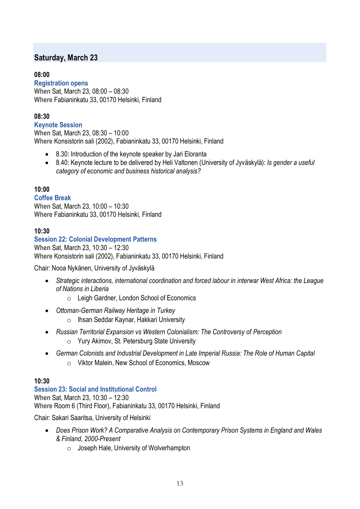# **Saturday, March 23**

# **08:00**

**Registration opens When** Sat, March 23, 08:00 – 08:30 **Where** Fabianinkatu 33, 00170 Helsinki, Finland

# **08:30**

**Keynote Session When** Sat, March 23, 08:30 – 10:00 **Where** Konsistorin sali (2002), Fabianinkatu 33, 00170 Helsinki, Finland

- 8.30: Introduction of the keynote speaker by Jari Eloranta
- 8.40: Keynote lecture to be delivered by Heli Valtonen (University of Jyväskylä): *Is gender a useful category of economic and business historical analysis?*

# **10:00**

### **Coffee Break**

**When** Sat, March 23, 10:00 – 10:30 **Where** Fabianinkatu 33, 00170 Helsinki, Finland

# **10:30**

# **Session 22: Colonial Development Patterns**

**When** Sat, March 23, 10:30 – 12:30 **Where** Konsistorin sali (2002), Fabianinkatu 33, 00170 Helsinki, Finland

Chair: Nooa Nykänen, University of Jyväskylä

- *Strategic interactions, international coordination and forced labour in interwar West Africa: the League of Nations in Liberia*
	- o Leigh Gardner, London School of Economics
- *Ottoman-German Railway Heritage in Turkey*
	- o Ihsan Seddar Kaynar, Hakkari University
- *Russian Territorial Expansion vs Western Colonialism: The Controversy of Perception* o Yury Akimov, St. Petersburg State University
- *German Colonists and Industrial Development in Late Imperial Russia: The Role of Human Capital* o Viktor Malein, New School of Economics, Moscow

# **10:30**

#### **Session 23: Social and Institutional Control**

**When** Sat, March 23, 10:30 – 12:30 **Where** Room 6 (Third Floor), Fabianinkatu 33, 00170 Helsinki, Finland

Chair: Sakari Saaritsa, University of Helsinki

- *Does Prison Work? A Comparative Analysis on Contemporary Prison Systems in England and Wales & Finland, 2000-Present*
	- $\circ$  Joseph Hale, University of Wolverhampton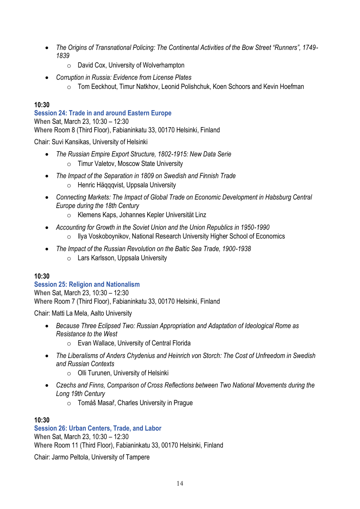- *The Origins of Transnational Policing: The Continental Activities of the Bow Street "Runners", 1749- 1839*
	- o David Cox, University of Wolverhampton
- *Corruption in Russia: Evidence from License Plates*
	- o Tom Eeckhout, Timur Natkhov, Leonid Polishchuk, Koen Schoors and Kevin Hoefman

**Session 24: Trade in and around Eastern Europe When** Sat, March 23, 10:30 – 12:30 **Where** Room 8 (Third Floor), Fabianinkatu 33, 00170 Helsinki, Finland

Chair: Suvi Kansikas, University of Helsinki

- *The Russian Empire Export Structure, 1802-1915: New Data Serie* o Timur Valetov, Moscow State University
- *The Impact of the Separation in 1809 on Swedish and Finnish Trade* o Henric Häqqqvist, Uppsala University
- *Connecting Markets: The Impact of Global Trade on Economic Development in Habsburg Central Europe during the 18th Century*
	- o Klemens Kaps, Johannes Kepler Universität Linz
- *Accounting for Growth in the Soviet Union and the Union Republics in 1950-1990*
	- o Ilya Voskoboynikov, National Research University Higher School of Economics
- *The Impact of the Russian Revolution on the Baltic Sea Trade, 1900-1938*
	- o Lars Karlsson, Uppsala University

# **10:30**

# **Session 25: Religion and Nationalism**

**When** Sat, March 23, 10:30 – 12:30 **Where** Room 7 (Third Floor), Fabianinkatu 33, 00170 Helsinki, Finland

Chair: Matti La Mela, Aalto University

- *Because Three Eclipsed Two: Russian Appropriation and Adaptation of Ideological Rome as Resistance to the West*
	- o Evan Wallace, University of Central Florida
- *The Liberalisms of Anders Chydenius and Heinrich von Storch: The Cost of Unfreedom in Swedish and Russian Contexts*
	- o Olli Turunen, University of Helsinki
- *Czechs and Finns, Comparison of Cross Reflections between Two National Movements during the Long 19th Century*
	- o Tomáš Masař, Charles University in Prague

# **10:30**

# **Session 26: Urban Centers, Trade, and Labor**

**When** Sat, March 23, 10:30 – 12:30 **Where** Room 11 (Third Floor), Fabianinkatu 33, 00170 Helsinki, Finland

Chair: Jarmo Peltola, University of Tampere